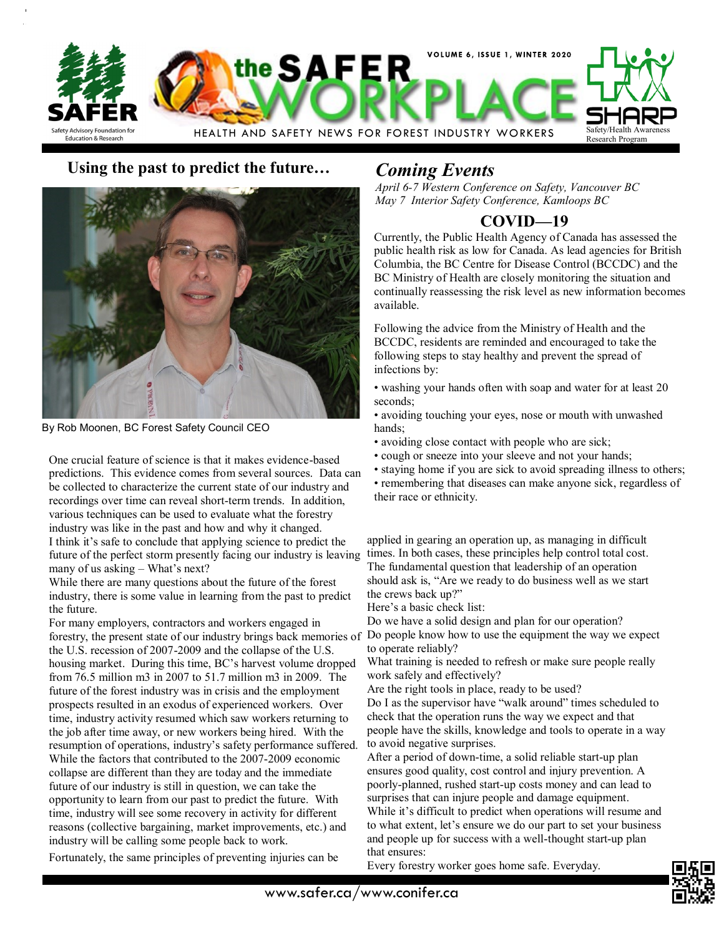

## **Using the past to predict the future…** *Coming Events*



By Rob Moonen, BC Forest Safety Council CEO

One crucial feature of science is that it makes evidence-based predictions. This evidence comes from several sources. Data can be collected to characterize the current state of our industry and recordings over time can reveal short-term trends. In addition, various techniques can be used to evaluate what the forestry industry was like in the past and how and why it changed. I think it's safe to conclude that applying science to predict the future of the perfect storm presently facing our industry is leaving many of us asking – What's next?

While there are many questions about the future of the forest industry, there is some value in learning from the past to predict the future.

For many employers, contractors and workers engaged in forestry, the present state of our industry brings back memories of the U.S. recession of 2007-2009 and the collapse of the U.S. housing market. During this time, BC's harvest volume dropped from 76.5 million m3 in 2007 to 51.7 million m3 in 2009. The future of the forest industry was in crisis and the employment prospects resulted in an exodus of experienced workers. Over time, industry activity resumed which saw workers returning to the job after time away, or new workers being hired. With the resumption of operations, industry's safety performance suffered. While the factors that contributed to the 2007-2009 economic collapse are different than they are today and the immediate future of our industry is still in question, we can take the opportunity to learn from our past to predict the future. With time, industry will see some recovery in activity for different reasons (collective bargaining, market improvements, etc.) and industry will be calling some people back to work.

Fortunately, the same principles of preventing injuries can be

*April 6-7 Western Conference on Safety, Vancouver BC May 7 Interior Safety Conference, Kamloops BC*

# **COVID—19**

Currently, the Public Health Agency of Canada has assessed the public health risk as low for Canada. As lead agencies for British Columbia, the BC Centre for Disease Control (BCCDC) and the BC Ministry of Health are closely monitoring the situation and continually reassessing the risk level as new information becomes available.

Following the advice from the Ministry of Health and the BCCDC, residents are reminded and encouraged to take the following steps to stay healthy and prevent the spread of infections by:

- washing your hands often with soap and water for at least 20 seconds;
- avoiding touching your eyes, nose or mouth with unwashed hands;
- avoiding close contact with people who are sick;
- cough or sneeze into your sleeve and not your hands;
- staying home if you are sick to avoid spreading illness to others; • remembering that diseases can make anyone sick, regardless of their race or ethnicity.

applied in gearing an operation up, as managing in difficult times. In both cases, these principles help control total cost. The fundamental question that leadership of an operation should ask is, "Are we ready to do business well as we start the crews back up?"

Here's a basic check list:

Do we have a solid design and plan for our operation?

Do people know how to use the equipment the way we expect to operate reliably?

What training is needed to refresh or make sure people really work safely and effectively?

Are the right tools in place, ready to be used?

Do I as the supervisor have "walk around" times scheduled to check that the operation runs the way we expect and that people have the skills, knowledge and tools to operate in a way to avoid negative surprises.

After a period of down-time, a solid reliable start-up plan ensures good quality, cost control and injury prevention. A poorly-planned, rushed start-up costs money and can lead to surprises that can injure people and damage equipment. While it's difficult to predict when operations will resume and to what extent, let's ensure we do our part to set your business and people up for success with a well-thought start-up plan that ensures:

Every forestry worker goes home safe. Everyday.